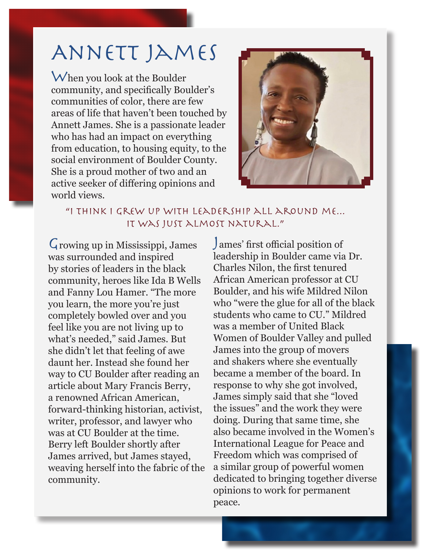## Annett James

When you look at the Boulder community, and specifically Boulder's communities of color, there are few areas of life that haven't been touched by Annett James. She is a passionate leader who has had an impact on everything from education, to housing equity, to the social environment of Boulder County. She is a proud mother of two and an active seeker of differing opinions and world views.



## "I think I grew up with leadership all around me... It was just almost natural."

Growing up in Mississippi, James was surrounded and inspired by stories of leaders in the black community, heroes like Ida B Wells and Fanny Lou Hamer. "The more you learn, the more you're just completely bowled over and you feel like you are not living up to what's needed," said James. But she didn't let that feeling of awe daunt her. Instead she found her way to CU Boulder after reading an article about Mary Francis Berry, a renowned African American, forward-thinking historian, activist, writer, professor, and lawyer who was at CU Boulder at the time. Berry left Boulder shortly after James arrived, but James stayed, weaving herself into the fabric of the community.

James' first official position of leadership in Boulder came via Dr. Charles Nilon, the first tenured African American professor at CU Boulder, and his wife Mildred Nilon who "were the glue for all of the black students who came to CU." Mildred was a member of United Black Women of Boulder Valley and pulled James into the group of movers and shakers where she eventually became a member of the board. In response to why she got involved, James simply said that she "loved the issues" and the work they were doing. During that same time, she also became involved in the Women's International League for Peace and Freedom which was comprised of a similar group of powerful women dedicated to bringing together diverse opinions to work for permanent peace.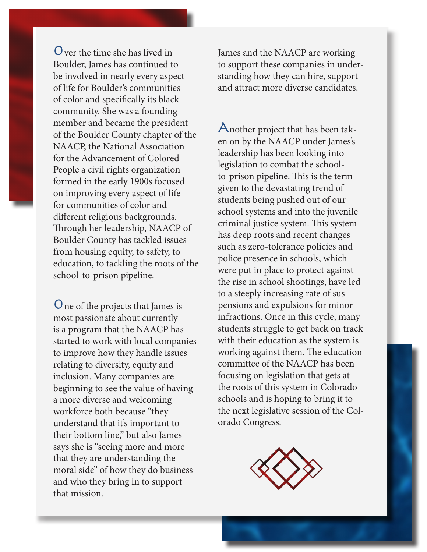Over the time she has lived in Boulder, James has continued to be involved in nearly every aspect of life for Boulder's communities of color and specifically its black community. She was a founding member and became the president of the Boulder County chapter of the NAACP, the National Association for the Advancement of Colored People a civil rights organization formed in the early 1900s focused on improving every aspect of life for communities of color and different religious backgrounds. Through her leadership, NAACP of Boulder County has tackled issues from housing equity, to safety, to education, to tackling the roots of the school-to-prison pipeline.

One of the projects that James is most passionate about currently is a program that the NAACP has started to work with local companies to improve how they handle issues relating to diversity, equity and inclusion. Many companies are beginning to see the value of having a more diverse and welcoming workforce both because "they understand that it's important to their bottom line," but also James says she is "seeing more and more that they are understanding the moral side" of how they do business and who they bring in to support that mission.

James and the NAACP are working to support these companies in understanding how they can hire, support and attract more diverse candidates.

Another project that has been taken on by the NAACP under James's leadership has been looking into legislation to combat the schoolto-prison pipeline. This is the term given to the devastating trend of students being pushed out of our school systems and into the juvenile criminal justice system. This system has deep roots and recent changes such as zero-tolerance policies and police presence in schools, which were put in place to protect against the rise in school shootings, have led to a steeply increasing rate of suspensions and expulsions for minor infractions. Once in this cycle, many students struggle to get back on track with their education as the system is working against them. The education committee of the NAACP has been focusing on legislation that gets at the roots of this system in Colorado schools and is hoping to bring it to the next legislative session of the Colorado Congress.